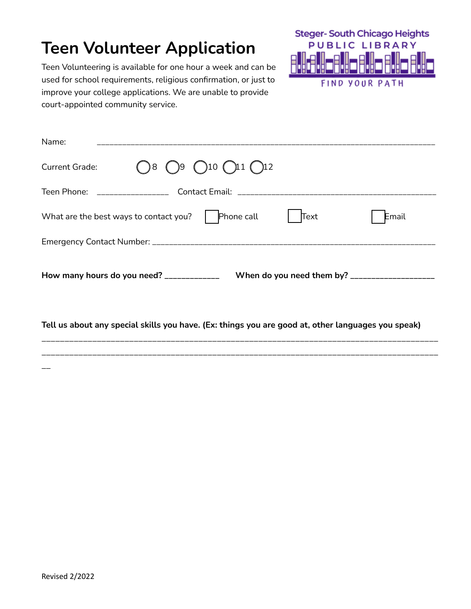# **Teen Volunteer Application**

**Steger-South Chicago Heights PUBLIC LIBRARY** Ĥ **FIND YOUR PATH** 

Teen Volunteering is available for one hour a week and can be used for school requirements, religious confirmation, or just to improve your college applications. We are unable to provide court-appointed community service.

| Name:                                                                                              |  |  |  |
|----------------------------------------------------------------------------------------------------|--|--|--|
| $\bigcap$ 8 $\bigcap$ 9 $\bigcap$ 10 $\bigcap$ 11 $\bigcap$ 12<br><b>Current Grade:</b>            |  |  |  |
|                                                                                                    |  |  |  |
| Phone call<br>Text<br>What are the best ways to contact you?<br>Email                              |  |  |  |
|                                                                                                    |  |  |  |
| How many hours do you need? ____________                                                           |  |  |  |
| Tell us about any special skills you have. (Ex: things you are good at, other languages you speak) |  |  |  |

\_\_\_\_\_\_\_\_\_\_\_\_\_\_\_\_\_\_\_\_\_\_\_\_\_\_\_\_\_\_\_\_\_\_\_\_\_\_\_\_\_\_\_\_\_\_\_\_\_\_\_\_\_\_\_\_\_\_\_\_\_\_\_\_\_\_\_\_\_\_\_\_\_\_\_\_\_\_\_\_\_\_\_\_\_\_

 $\overline{\phantom{a}}$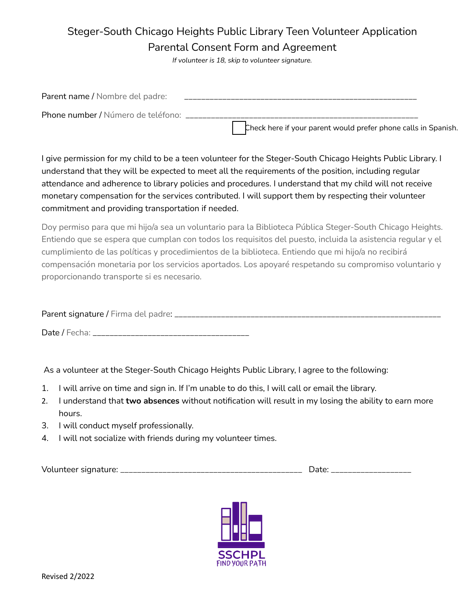### Steger-South Chicago Heights Public Library Teen Volunteer Application Parental Consent Form and Agreement

*If volunteer is 18, skip to volunteer signature.*

| Parent name / Nombre del padre:    |                                                                |
|------------------------------------|----------------------------------------------------------------|
| Phone number / Número de teléfono: |                                                                |
|                                    | Check here if your parent would prefer phone calls in Spanish. |

I give permission for my child to be a teen volunteer for the Steger-South Chicago Heights Public Library. I understand that they will be expected to meet all the requirements of the position, including regular attendance and adherence to library policies and procedures. I understand that my child will not receive monetary compensation for the services contributed. I will support them by respecting their volunteer commitment and providing transportation if needed.

Doy permiso para que mi hijo/a sea un voluntario para la Biblioteca Pública Steger-South Chicago Heights. Entiendo que se espera que cumplan con todos los requisitos del puesto, incluida la asistencia regular y el cumplimiento de las políticas y procedimientos de la biblioteca. Entiendo que mi hijo/a no recibirá compensación monetaria por los servicios aportados. Los apoyaré respetando su compromiso voluntario y proporcionando transporte si es necesario.

| Parent signature / Firma del padre: ______________________ |  |
|------------------------------------------------------------|--|
| Date / Fecha:                                              |  |

As a volunteer at the Steger-South Chicago Heights Public Library, I agree to the following:

- 1. I will arrive on time and sign in. If I'm unable to do this, I will call or email the library.
- 2. I understand that **two absences** without notification will result in my losing the ability to earn more hours.
- 3. I will conduct myself professionally.
- 4. I will not socialize with friends during my volunteer times.

Volunteer signature: \_\_\_\_\_\_\_\_\_\_\_\_\_\_\_\_\_\_\_\_\_\_\_\_\_\_\_\_\_\_\_\_\_\_\_\_\_\_\_\_\_\_\_ Date: \_\_\_\_\_\_\_\_\_\_\_\_\_\_\_\_\_\_\_